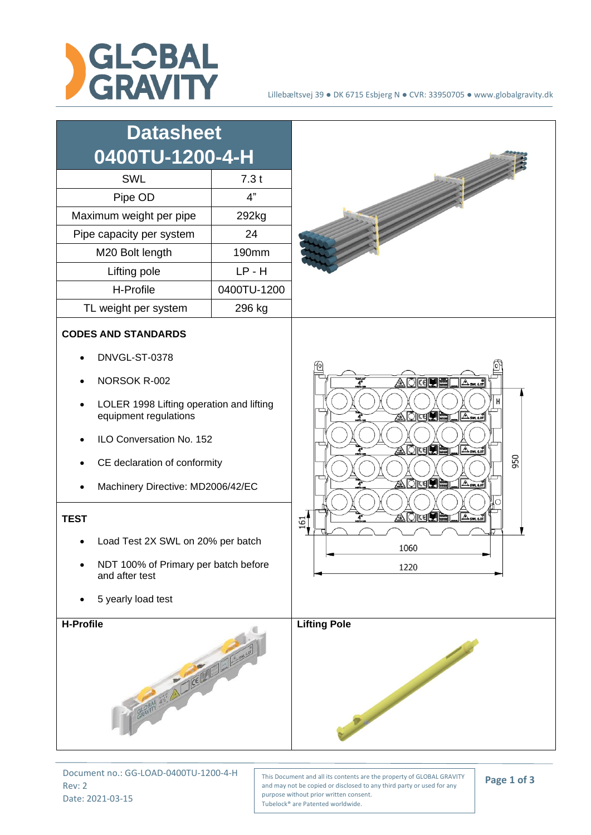

## Lillebæltsvej 39 ● DK 6715 Esbjerg N ● CVR: 33950705 ● www.globalgravity.dk



Document no.: GG-LOAD-0400TU-1200-4-H Rev: 2 Date: 2021-03-15

This Document and all its contents are the property of GLOBAL GRAVITY and may not be copied or disclosed to any third party or used for any purpose without prior written consent. Tubelock® are Patented worldwide.

**Page 1 of 3**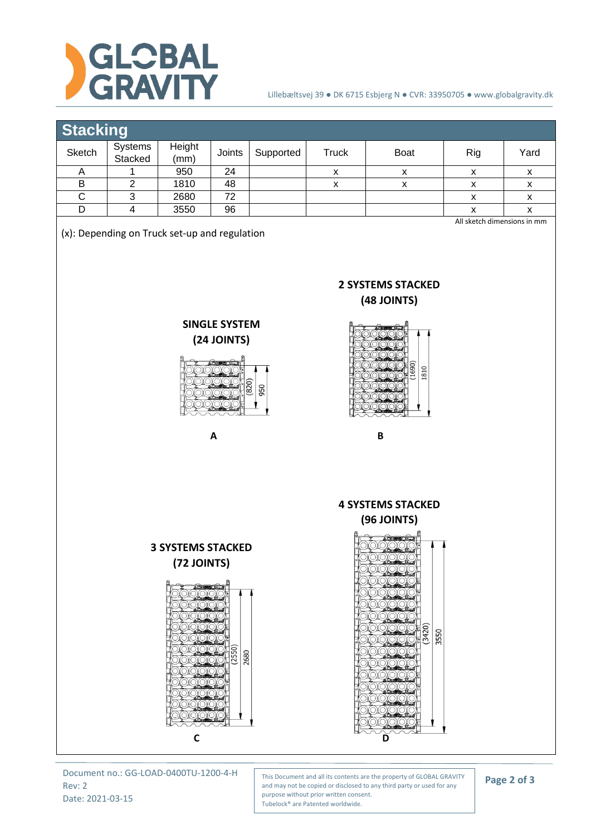

## Lillebæltsvej 39 ● DK 6715 Esbjerg N ● CVR: 33950705 ● www.globalgravity.dk

## **Stacking**

| Sketch                                                                                                                                                         | ັ<br>Systems   | Height                                                                                                                                                      | Joints         | Supported | <b>Truck</b>       | Boat                                                                                                       | Rig                | Yard               |  |  |
|----------------------------------------------------------------------------------------------------------------------------------------------------------------|----------------|-------------------------------------------------------------------------------------------------------------------------------------------------------------|----------------|-----------|--------------------|------------------------------------------------------------------------------------------------------------|--------------------|--------------------|--|--|
| A                                                                                                                                                              | Stacked<br>1   | (mm)<br>950                                                                                                                                                 | 24             |           | $\pmb{\mathsf{x}}$ | $\pmb{\mathsf{X}}$                                                                                         | X                  | $\pmb{\mathsf{x}}$ |  |  |
| $\sf B$                                                                                                                                                        | $\mathbf 2$    | 1810                                                                                                                                                        | 48             |           | $\pmb{\mathsf{X}}$ | $\pmb{\mathsf{X}}$                                                                                         | $\pmb{\mathsf{x}}$ | X                  |  |  |
| $\overline{C}$                                                                                                                                                 | $\sqrt{3}$     | 2680                                                                                                                                                        | 72             |           |                    |                                                                                                            | X                  | X                  |  |  |
| D                                                                                                                                                              | $\overline{4}$ | 3550                                                                                                                                                        | 96             |           |                    |                                                                                                            | $\pmb{\mathsf{x}}$ | $\pmb{\mathsf{x}}$ |  |  |
| (x): Depending on Truck set-up and regulation<br><b>2 SYSTEMS STACKED</b><br>(48 JOINTS)<br><b>SINGLE SYSTEM</b><br><b>(24 JOINTS)</b><br>1810<br>(820)<br>950 |                |                                                                                                                                                             |                |           |                    |                                                                                                            |                    |                    |  |  |
|                                                                                                                                                                |                |                                                                                                                                                             | A              |           |                    | B                                                                                                          |                    |                    |  |  |
|                                                                                                                                                                |                |                                                                                                                                                             |                |           |                    | <b>4 SYSTEMS STACKED</b>                                                                                   |                    |                    |  |  |
|                                                                                                                                                                |                | <b>(96 JOINTS)</b>                                                                                                                                          |                |           |                    |                                                                                                            |                    |                    |  |  |
|                                                                                                                                                                |                | <b>3 SYSTEMS STACKED</b><br>(72 JOINTS)<br><b>ADKSHELLAND</b><br>2000<br>QQQC<br>0000C<br>200<br>OYO)<br>QQQC<br><u> QOQ</u><br>OXOXO.<br>20<br>$\mathbf C$ | (2550)<br>2680 |           | ⊃                  | <b>BEEF</b><br>OXO.<br>OXOXOX<br>OXO<br>(3420)<br>3550<br><b>2000</b><br>XО<br>$\frac{1}{2}$<br>00000<br>D |                    |                    |  |  |

Document no.: GG-LOAD-0400TU-1200-4-H Rev: 2 Date: 2021-03-15

This Document and all its contents are the property of GLOBAL GRAVITY and may not be copied or disclosed to any third party or used for any purpose without prior written consent. Tubelock® are Patented worldwide.